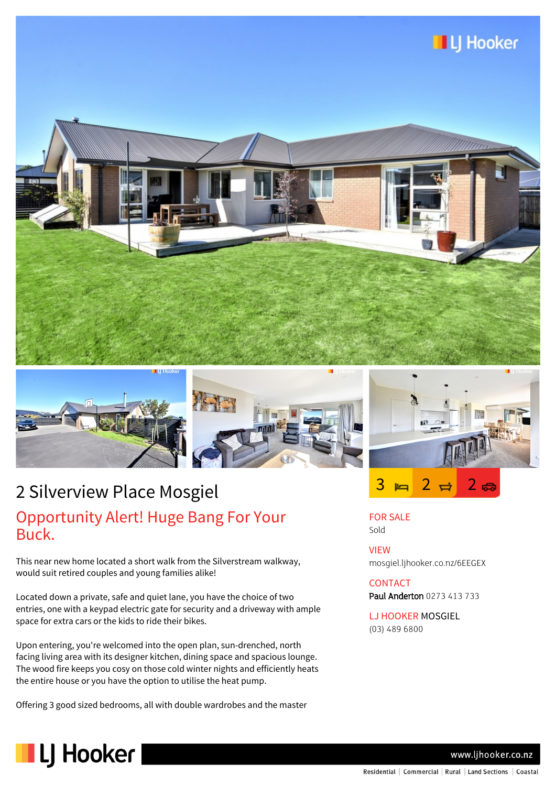







# 2 Silverview Place Mosgiel

### Opportunity Alert! Huge Bang For Your Buck.

This near new home located a short walk from the Silverstream walkway, would suit retired couples and young families alike!

Located down a private, safe and quiet lane, you have the choice of two entries, one with a keypad electric gate for security and a driveway with ample space for extra cars or the kids to ride their bikes.

Upon entering, you're welcomed into the open plan, sun-drenched, north facing living area with its designer kitchen, dining space and spacious lounge. The wood fire keeps you cosy on those cold winter nights and efficiently heats the entire house or you have the option to utilise the heat pump.

Offering 3 good sized bedrooms, all with double wardrobes and the master



FOR SALE Sold

VIEW mosgiel.ljhooker.co.nz/6EEGEX

## **CONTACT**

Paul Anderton 0273 413 733

LJ HOOKER MOSGIEL (03) 489 6800



www.ljhooker.co.nz